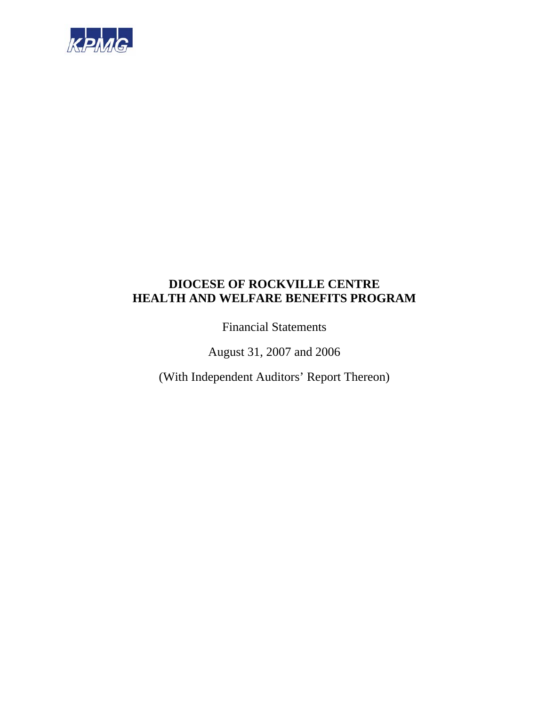

Financial Statements

August 31, 2007 and 2006

(With Independent Auditors' Report Thereon)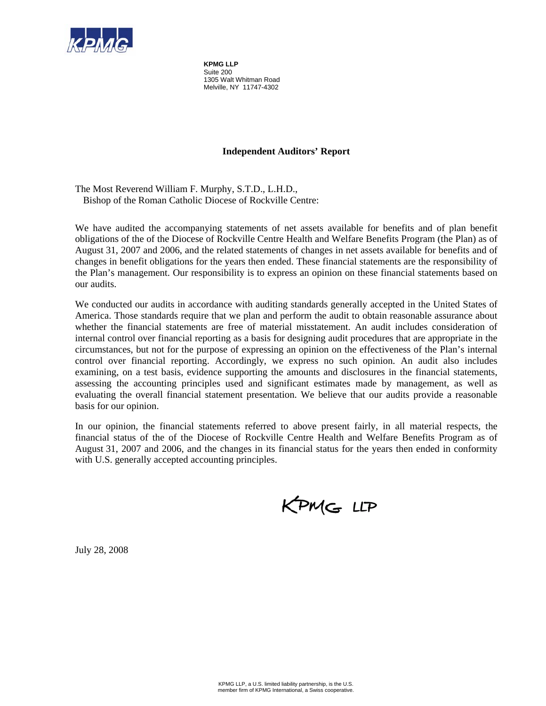

**KPMG LLP**  Suite 200 1305 Walt Whitman Road Melville, NY 11747-4302

### **Independent Auditors' Report**

The Most Reverend William F. Murphy, S.T.D., L.H.D., Bishop of the Roman Catholic Diocese of Rockville Centre:

We have audited the accompanying statements of net assets available for benefits and of plan benefit obligations of the of the Diocese of Rockville Centre Health and Welfare Benefits Program (the Plan) as of August 31, 2007 and 2006, and the related statements of changes in net assets available for benefits and of changes in benefit obligations for the years then ended. These financial statements are the responsibility of the Plan's management. Our responsibility is to express an opinion on these financial statements based on our audits.

We conducted our audits in accordance with auditing standards generally accepted in the United States of America. Those standards require that we plan and perform the audit to obtain reasonable assurance about whether the financial statements are free of material misstatement. An audit includes consideration of internal control over financial reporting as a basis for designing audit procedures that are appropriate in the circumstances, but not for the purpose of expressing an opinion on the effectiveness of the Plan's internal control over financial reporting. Accordingly, we express no such opinion. An audit also includes examining, on a test basis, evidence supporting the amounts and disclosures in the financial statements, assessing the accounting principles used and significant estimates made by management, as well as evaluating the overall financial statement presentation. We believe that our audits provide a reasonable basis for our opinion.

In our opinion, the financial statements referred to above present fairly, in all material respects, the financial status of the of the Diocese of Rockville Centre Health and Welfare Benefits Program as of August 31, 2007 and 2006, and the changes in its financial status for the years then ended in conformity with U.S. generally accepted accounting principles.

KPMG LLP

July 28, 2008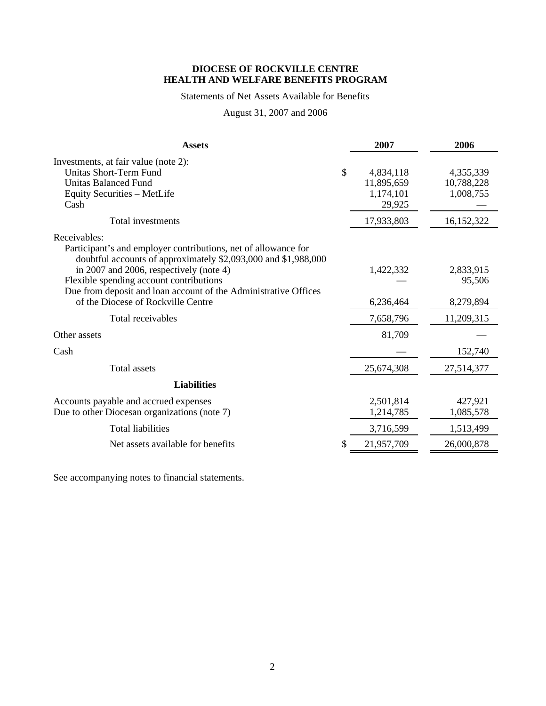### Statements of Net Assets Available for Benefits

## August 31, 2007 and 2006

| <b>Assets</b>                                                                                                                                                                                                                                                                                                                                   |    | 2007                                           | 2006                                 |
|-------------------------------------------------------------------------------------------------------------------------------------------------------------------------------------------------------------------------------------------------------------------------------------------------------------------------------------------------|----|------------------------------------------------|--------------------------------------|
| Investments, at fair value (note 2):<br>Unitas Short-Term Fund<br><b>Unitas Balanced Fund</b><br>Equity Securities - MetLife<br>Cash                                                                                                                                                                                                            | \$ | 4,834,118<br>11,895,659<br>1,174,101<br>29,925 | 4,355,339<br>10,788,228<br>1,008,755 |
| Total investments                                                                                                                                                                                                                                                                                                                               |    | 17,933,803                                     | 16,152,322                           |
| Receivables:<br>Participant's and employer contributions, net of allowance for<br>doubtful accounts of approximately \$2,093,000 and \$1,988,000<br>in 2007 and 2006, respectively (note 4)<br>Flexible spending account contributions<br>Due from deposit and loan account of the Administrative Offices<br>of the Diocese of Rockville Centre |    | 1,422,332<br>6,236,464                         | 2,833,915<br>95,506<br>8,279,894     |
| Total receivables                                                                                                                                                                                                                                                                                                                               |    | 7,658,796                                      | 11,209,315                           |
| Other assets                                                                                                                                                                                                                                                                                                                                    |    | 81,709                                         |                                      |
| Cash                                                                                                                                                                                                                                                                                                                                            |    |                                                | 152,740                              |
| <b>Total assets</b>                                                                                                                                                                                                                                                                                                                             |    | 25,674,308                                     | 27,514,377                           |
| <b>Liabilities</b>                                                                                                                                                                                                                                                                                                                              |    |                                                |                                      |
| Accounts payable and accrued expenses<br>Due to other Diocesan organizations (note 7)                                                                                                                                                                                                                                                           |    | 2,501,814<br>1,214,785                         | 427,921<br>1,085,578                 |
| <b>Total liabilities</b>                                                                                                                                                                                                                                                                                                                        |    | 3,716,599                                      | 1,513,499                            |
| Net assets available for benefits                                                                                                                                                                                                                                                                                                               | S  | 21,957,709                                     | 26,000,878                           |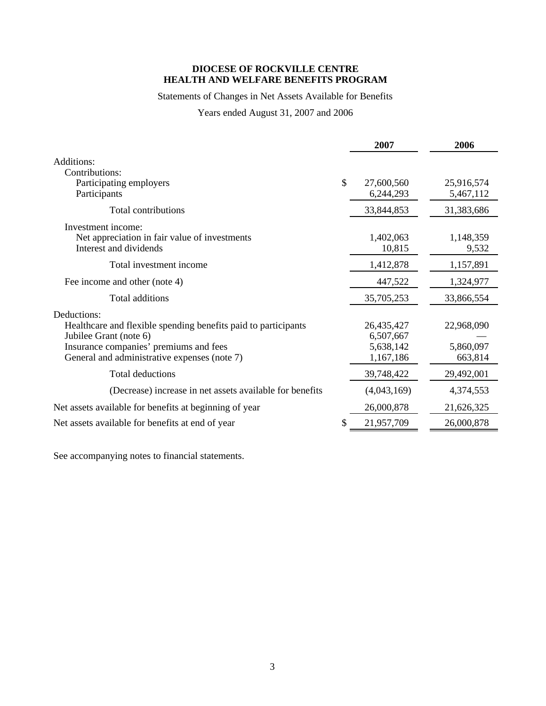## Statements of Changes in Net Assets Available for Benefits

Years ended August 31, 2007 and 2006

|                                                                                                                                                                                                   |               | 2007                                              | 2006                               |
|---------------------------------------------------------------------------------------------------------------------------------------------------------------------------------------------------|---------------|---------------------------------------------------|------------------------------------|
| Additions:<br>Contributions:                                                                                                                                                                      |               |                                                   |                                    |
| Participating employers<br>Participants                                                                                                                                                           | $\mathcal{S}$ | 27,600,560<br>6,244,293                           | 25,916,574<br>5,467,112            |
| Total contributions                                                                                                                                                                               |               | 33,844,853                                        | 31,383,686                         |
| Investment income:<br>Net appreciation in fair value of investments<br>Interest and dividends                                                                                                     |               | 1,402,063<br>10,815                               | 1,148,359<br>9,532                 |
| Total investment income                                                                                                                                                                           |               | 1,412,878                                         | 1,157,891                          |
| Fee income and other (note 4)                                                                                                                                                                     |               | 447,522                                           | 1,324,977                          |
| Total additions                                                                                                                                                                                   |               | 35,705,253                                        | 33,866,554                         |
| Deductions:<br>Healthcare and flexible spending benefits paid to participants<br>Jubilee Grant (note 6)<br>Insurance companies' premiums and fees<br>General and administrative expenses (note 7) |               | 26,435,427<br>6,507,667<br>5,638,142<br>1,167,186 | 22,968,090<br>5,860,097<br>663,814 |
| Total deductions                                                                                                                                                                                  |               | 39,748,422                                        | 29,492,001                         |
| (Decrease) increase in net assets available for benefits                                                                                                                                          |               | (4,043,169)                                       | 4,374,553                          |
| Net assets available for benefits at beginning of year                                                                                                                                            |               | 26,000,878                                        | 21,626,325                         |
| Net assets available for benefits at end of year                                                                                                                                                  |               | 21,957,709                                        | 26,000,878                         |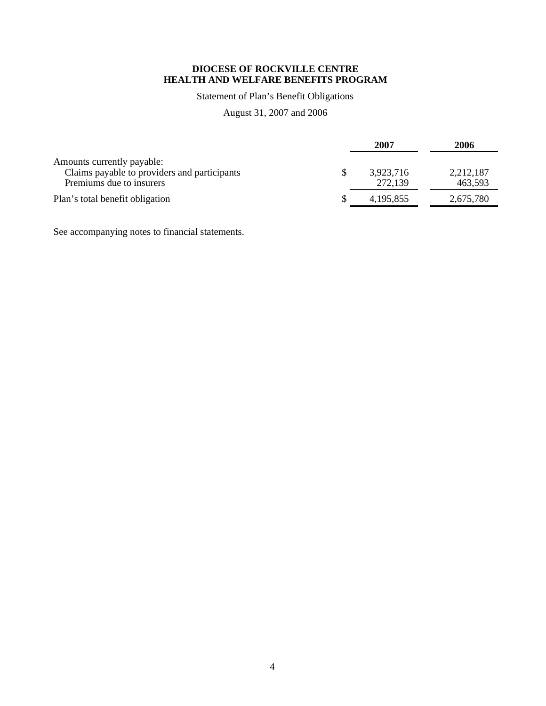## Statement of Plan's Benefit Obligations

## August 31, 2007 and 2006

|                                                                                                        | 2007                 | 2006                 |
|--------------------------------------------------------------------------------------------------------|----------------------|----------------------|
| Amounts currently payable:<br>Claims payable to providers and participants<br>Premiums due to insurers | 3,923,716<br>272,139 | 2,212,187<br>463,593 |
| Plan's total benefit obligation                                                                        | 4, 195, 855          | 2,675,780            |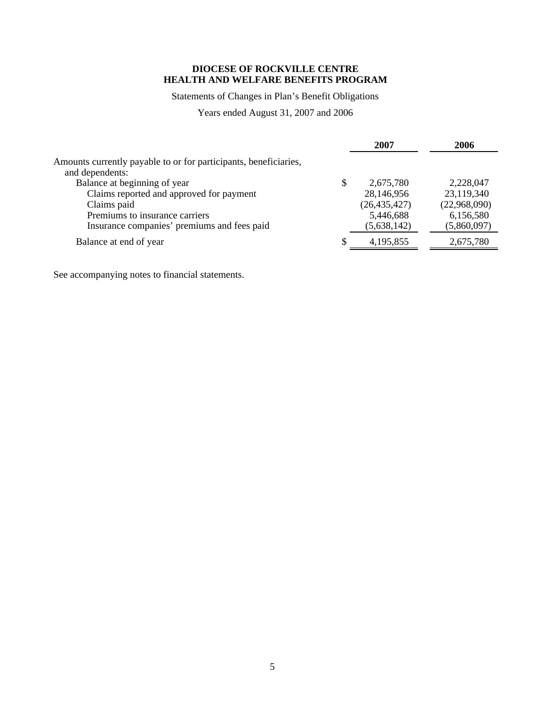## Statements of Changes in Plan's Benefit Obligations

Years ended August 31, 2007 and 2006

|                                                                  |   | 2007           | 2006         |
|------------------------------------------------------------------|---|----------------|--------------|
| Amounts currently payable to or for participants, beneficiaries, |   |                |              |
| and dependents:                                                  |   |                |              |
| Balance at beginning of year                                     | S | 2,675,780      | 2,228,047    |
| Claims reported and approved for payment                         |   | 28,146,956     | 23,119,340   |
| Claims paid                                                      |   | (26, 435, 427) | (22,968,090) |
| Premiums to insurance carriers                                   |   | 5,446,688      | 6,156,580    |
| Insurance companies' premiums and fees paid                      |   | (5,638,142)    | (5,860,097)  |
| Balance at end of year                                           | S | 4,195,855      | 2,675,780    |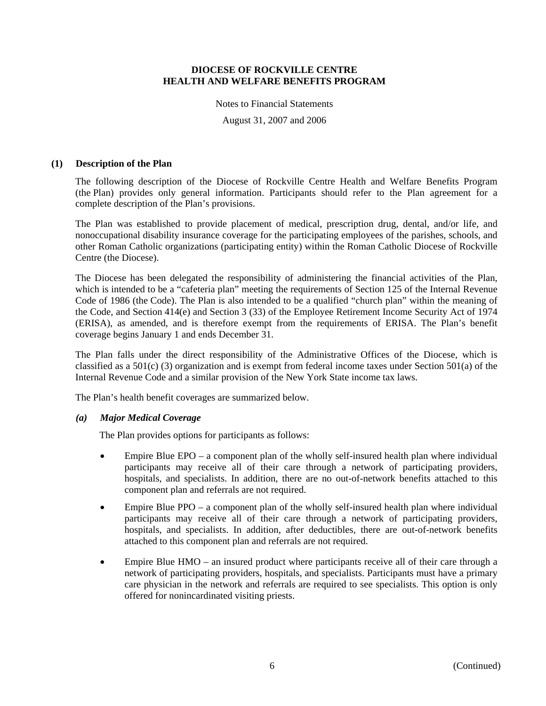#### Notes to Financial Statements

August 31, 2007 and 2006

#### **(1) Description of the Plan**

The following description of the Diocese of Rockville Centre Health and Welfare Benefits Program (the Plan) provides only general information. Participants should refer to the Plan agreement for a complete description of the Plan's provisions.

The Plan was established to provide placement of medical, prescription drug, dental, and/or life, and nonoccupational disability insurance coverage for the participating employees of the parishes, schools, and other Roman Catholic organizations (participating entity) within the Roman Catholic Diocese of Rockville Centre (the Diocese).

The Diocese has been delegated the responsibility of administering the financial activities of the Plan, which is intended to be a "cafeteria plan" meeting the requirements of Section 125 of the Internal Revenue Code of 1986 (the Code). The Plan is also intended to be a qualified "church plan" within the meaning of the Code, and Section 414(e) and Section 3 (33) of the Employee Retirement Income Security Act of 1974 (ERISA), as amended, and is therefore exempt from the requirements of ERISA. The Plan's benefit coverage begins January 1 and ends December 31.

The Plan falls under the direct responsibility of the Administrative Offices of the Diocese, which is classified as a  $501(c)$  (3) organization and is exempt from federal income taxes under Section  $501(a)$  of the Internal Revenue Code and a similar provision of the New York State income tax laws.

The Plan's health benefit coverages are summarized below.

#### *(a) Major Medical Coverage*

The Plan provides options for participants as follows:

- Empire Blue EPO a component plan of the wholly self-insured health plan where individual participants may receive all of their care through a network of participating providers, hospitals, and specialists. In addition, there are no out-of-network benefits attached to this component plan and referrals are not required.
- Empire Blue PPO a component plan of the wholly self-insured health plan where individual participants may receive all of their care through a network of participating providers, hospitals, and specialists. In addition, after deductibles, there are out-of-network benefits attached to this component plan and referrals are not required.
- Empire Blue HMO an insured product where participants receive all of their care through a network of participating providers, hospitals, and specialists. Participants must have a primary care physician in the network and referrals are required to see specialists. This option is only offered for nonincardinated visiting priests.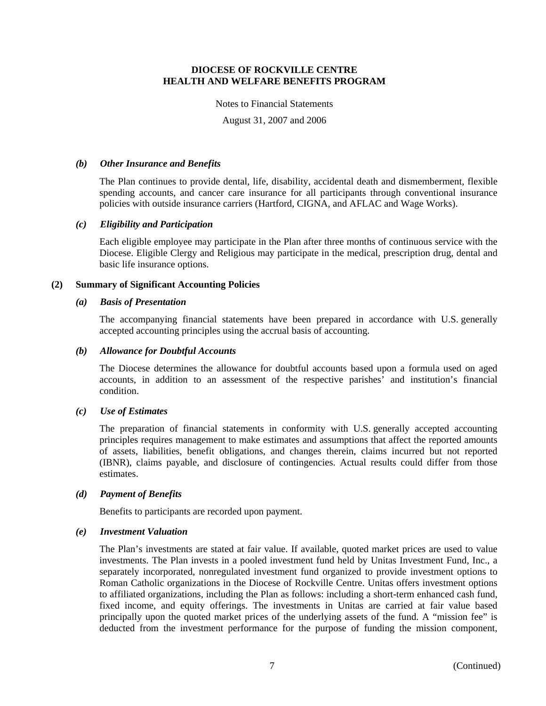#### Notes to Financial Statements

August 31, 2007 and 2006

### *(b) Other Insurance and Benefits*

The Plan continues to provide dental, life, disability, accidental death and dismemberment, flexible spending accounts, and cancer care insurance for all participants through conventional insurance policies with outside insurance carriers (Hartford, CIGNA, and AFLAC and Wage Works).

### *(c) Eligibility and Participation*

Each eligible employee may participate in the Plan after three months of continuous service with the Diocese. Eligible Clergy and Religious may participate in the medical, prescription drug, dental and basic life insurance options.

### **(2) Summary of Significant Accounting Policies**

#### *(a) Basis of Presentation*

The accompanying financial statements have been prepared in accordance with U.S. generally accepted accounting principles using the accrual basis of accounting.

### *(b) Allowance for Doubtful Accounts*

The Diocese determines the allowance for doubtful accounts based upon a formula used on aged accounts, in addition to an assessment of the respective parishes' and institution's financial condition.

#### *(c) Use of Estimates*

The preparation of financial statements in conformity with U.S. generally accepted accounting principles requires management to make estimates and assumptions that affect the reported amounts of assets, liabilities, benefit obligations, and changes therein, claims incurred but not reported (IBNR), claims payable, and disclosure of contingencies. Actual results could differ from those estimates.

#### *(d) Payment of Benefits*

Benefits to participants are recorded upon payment.

#### *(e) Investment Valuation*

The Plan's investments are stated at fair value. If available, quoted market prices are used to value investments. The Plan invests in a pooled investment fund held by Unitas Investment Fund, Inc., a separately incorporated, nonregulated investment fund organized to provide investment options to Roman Catholic organizations in the Diocese of Rockville Centre. Unitas offers investment options to affiliated organizations, including the Plan as follows: including a short-term enhanced cash fund, fixed income, and equity offerings. The investments in Unitas are carried at fair value based principally upon the quoted market prices of the underlying assets of the fund. A "mission fee" is deducted from the investment performance for the purpose of funding the mission component,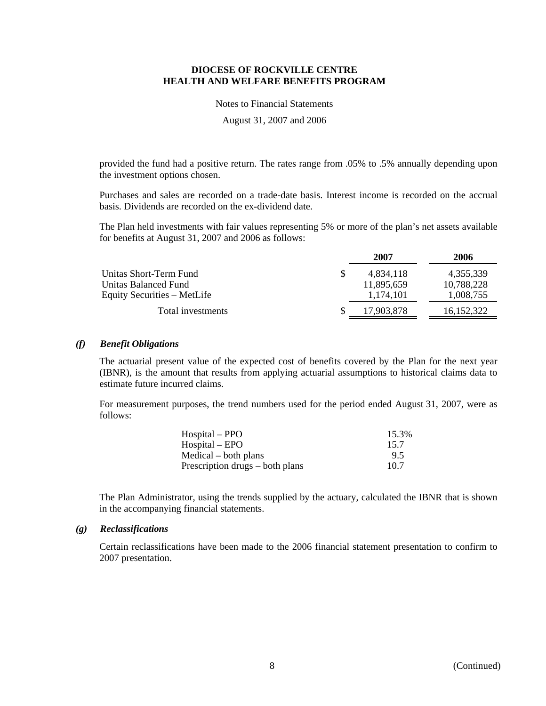Notes to Financial Statements

August 31, 2007 and 2006

provided the fund had a positive return. The rates range from .05% to .5% annually depending upon the investment options chosen.

Purchases and sales are recorded on a trade-date basis. Interest income is recorded on the accrual basis. Dividends are recorded on the ex-dividend date.

The Plan held investments with fair values representing 5% or more of the plan's net assets available for benefits at August 31, 2007 and 2006 as follows:

| 4,355,339                  |
|----------------------------|
| 10,788,228<br>11.895.659   |
| 1,008,755                  |
| 17.903.878<br>16, 152, 322 |
| 4.834.118<br>1,174,101     |

### *(f) Benefit Obligations*

The actuarial present value of the expected cost of benefits covered by the Plan for the next year (IBNR), is the amount that results from applying actuarial assumptions to historical claims data to estimate future incurred claims.

For measurement purposes, the trend numbers used for the period ended August 31, 2007, were as follows:

| Hospital – PPO                  | 15.3% |
|---------------------------------|-------|
| Hospital – EPO                  | 15.7  |
| Medical – both plans            | 9.5   |
| Prescription drugs – both plans | 10.7  |

The Plan Administrator, using the trends supplied by the actuary, calculated the IBNR that is shown in the accompanying financial statements.

#### *(g) Reclassifications*

Certain reclassifications have been made to the 2006 financial statement presentation to confirm to 2007 presentation.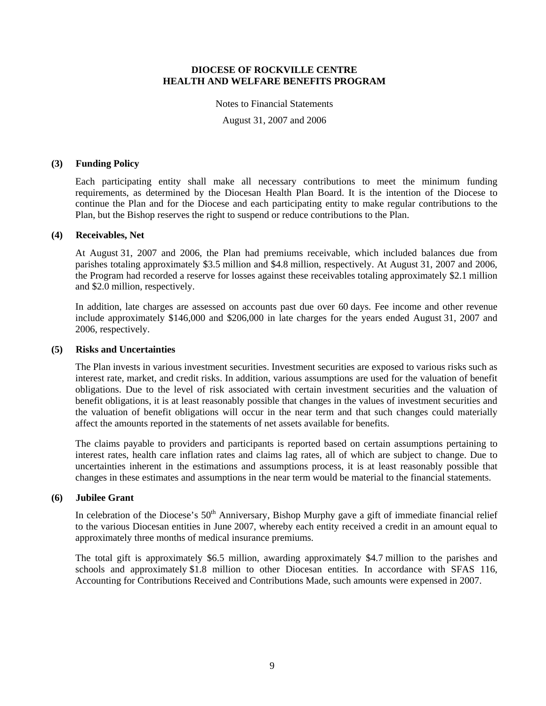#### Notes to Financial Statements

August 31, 2007 and 2006

### **(3) Funding Policy**

Each participating entity shall make all necessary contributions to meet the minimum funding requirements, as determined by the Diocesan Health Plan Board. It is the intention of the Diocese to continue the Plan and for the Diocese and each participating entity to make regular contributions to the Plan, but the Bishop reserves the right to suspend or reduce contributions to the Plan.

### **(4) Receivables, Net**

At August 31, 2007 and 2006, the Plan had premiums receivable, which included balances due from parishes totaling approximately \$3.5 million and \$4.8 million, respectively. At August 31, 2007 and 2006, the Program had recorded a reserve for losses against these receivables totaling approximately \$2.1 million and \$2.0 million, respectively.

In addition, late charges are assessed on accounts past due over 60 days. Fee income and other revenue include approximately \$146,000 and \$206,000 in late charges for the years ended August 31, 2007 and 2006, respectively.

#### **(5) Risks and Uncertainties**

The Plan invests in various investment securities. Investment securities are exposed to various risks such as interest rate, market, and credit risks. In addition, various assumptions are used for the valuation of benefit obligations. Due to the level of risk associated with certain investment securities and the valuation of benefit obligations, it is at least reasonably possible that changes in the values of investment securities and the valuation of benefit obligations will occur in the near term and that such changes could materially affect the amounts reported in the statements of net assets available for benefits.

The claims payable to providers and participants is reported based on certain assumptions pertaining to interest rates, health care inflation rates and claims lag rates, all of which are subject to change. Due to uncertainties inherent in the estimations and assumptions process, it is at least reasonably possible that changes in these estimates and assumptions in the near term would be material to the financial statements.

## **(6) Jubilee Grant**

In celebration of the Diocese's  $50<sup>th</sup>$  Anniversary, Bishop Murphy gave a gift of immediate financial relief to the various Diocesan entities in June 2007, whereby each entity received a credit in an amount equal to approximately three months of medical insurance premiums.

The total gift is approximately \$6.5 million, awarding approximately \$4.7 million to the parishes and schools and approximately \$1.8 million to other Diocesan entities. In accordance with SFAS 116, Accounting for Contributions Received and Contributions Made, such amounts were expensed in 2007.